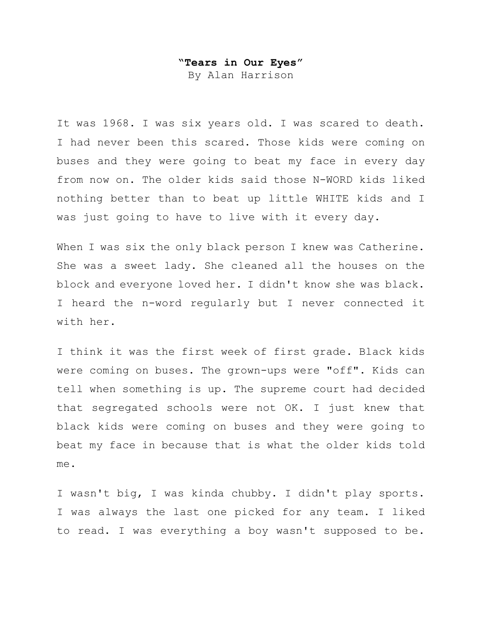## **"Tears in Our Eyes"**

By Alan Harrison

It was 1968. I was six years old. I was scared to death. I had never been this scared. Those kids were coming on buses and they were going to beat my face in every day from now on. The older kids said those N-WORD kids liked nothing better than to beat up little WHITE kids and I was just going to have to live with it every day.

When I was six the only black person I knew was Catherine. She was a sweet lady. She cleaned all the houses on the block and everyone loved her. I didn't know she was black. I heard the n-word regularly but I never connected it with her.

I think it was the first week of first grade. Black kids were coming on buses. The grown-ups were "off". Kids can tell when something is up. The supreme court had decided that segregated schools were not OK. I just knew that black kids were coming on buses and they were going to beat my face in because that is what the older kids told me.

I wasn't big, I was kinda chubby. I didn't play sports. I was always the last one picked for any team. I liked to read. I was everything a boy wasn't supposed to be.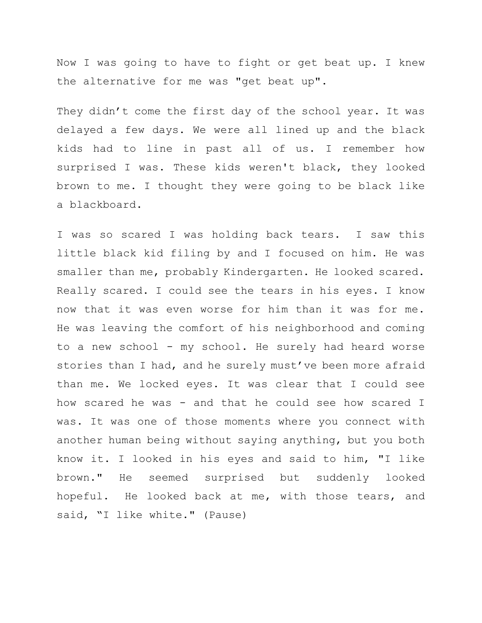Now I was going to have to fight or get beat up. I knew the alternative for me was "get beat up".

They didn't come the first day of the school year. It was delayed a few days. We were all lined up and the black kids had to line in past all of us. I remember how surprised I was. These kids weren't black, they looked brown to me. I thought they were going to be black like a blackboard.

I was so scared I was holding back tears. I saw this little black kid filing by and I focused on him. He was smaller than me, probably Kindergarten. He looked scared. Really scared. I could see the tears in his eyes. I know now that it was even worse for him than it was for me. He was leaving the comfort of his neighborhood and coming to a new school - my school. He surely had heard worse stories than I had, and he surely must've been more afraid than me. We locked eyes. It was clear that I could see how scared he was - and that he could see how scared I was. It was one of those moments where you connect with another human being without saying anything, but you both know it. I looked in his eyes and said to him, "I like brown." He seemed surprised but suddenly looked hopeful. He looked back at me, with those tears, and said, "I like white." (Pause)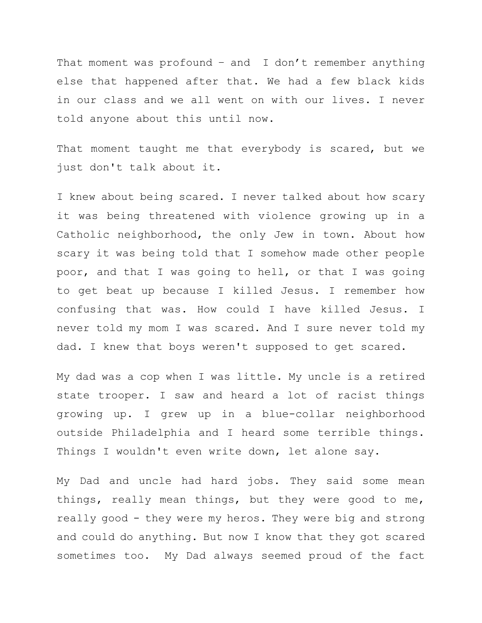That moment was profound  $-$  and I don't remember anything else that happened after that. We had a few black kids in our class and we all went on with our lives. I never told anyone about this until now.

That moment taught me that everybody is scared, but we just don't talk about it.

I knew about being scared. I never talked about how scary it was being threatened with violence growing up in a Catholic neighborhood, the only Jew in town. About how scary it was being told that I somehow made other people poor, and that I was going to hell, or that I was going to get beat up because I killed Jesus. I remember how confusing that was. How could I have killed Jesus. I never told my mom I was scared. And I sure never told my dad. I knew that boys weren't supposed to get scared.

My dad was a cop when I was little. My uncle is a retired state trooper. I saw and heard a lot of racist things growing up. I grew up in a blue-collar neighborhood outside Philadelphia and I heard some terrible things. Things I wouldn't even write down, let alone say.

My Dad and uncle had hard jobs. They said some mean things, really mean things, but they were good to me, really good - they were my heros. They were big and strong and could do anything. But now I know that they got scared sometimes too. My Dad always seemed proud of the fact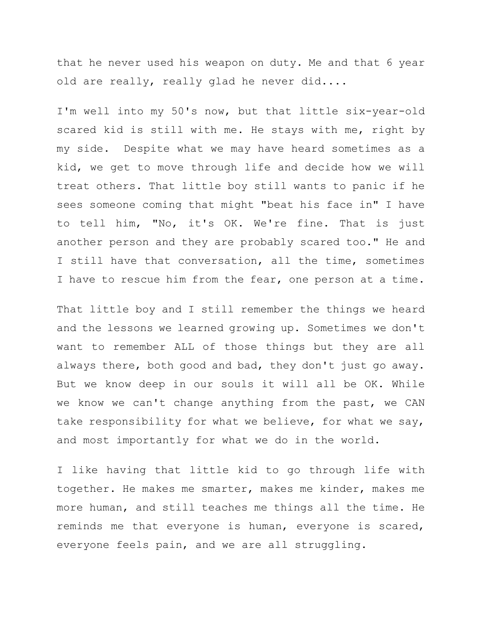that he never used his weapon on duty. Me and that 6 year old are really, really glad he never did....

I'm well into my 50's now, but that little six-year-old scared kid is still with me. He stays with me, right by my side. Despite what we may have heard sometimes as a kid, we get to move through life and decide how we will treat others. That little boy still wants to panic if he sees someone coming that might "beat his face in" I have to tell him, "No, it's OK. We're fine. That is just another person and they are probably scared too." He and I still have that conversation, all the time, sometimes I have to rescue him from the fear, one person at a time.

That little boy and I still remember the things we heard and the lessons we learned growing up. Sometimes we don't want to remember ALL of those things but they are all always there, both good and bad, they don't just go away. But we know deep in our souls it will all be OK. While we know we can't change anything from the past, we CAN take responsibility for what we believe, for what we say, and most importantly for what we do in the world.

I like having that little kid to go through life with together. He makes me smarter, makes me kinder, makes me more human, and still teaches me things all the time. He reminds me that everyone is human, everyone is scared, everyone feels pain, and we are all struggling.